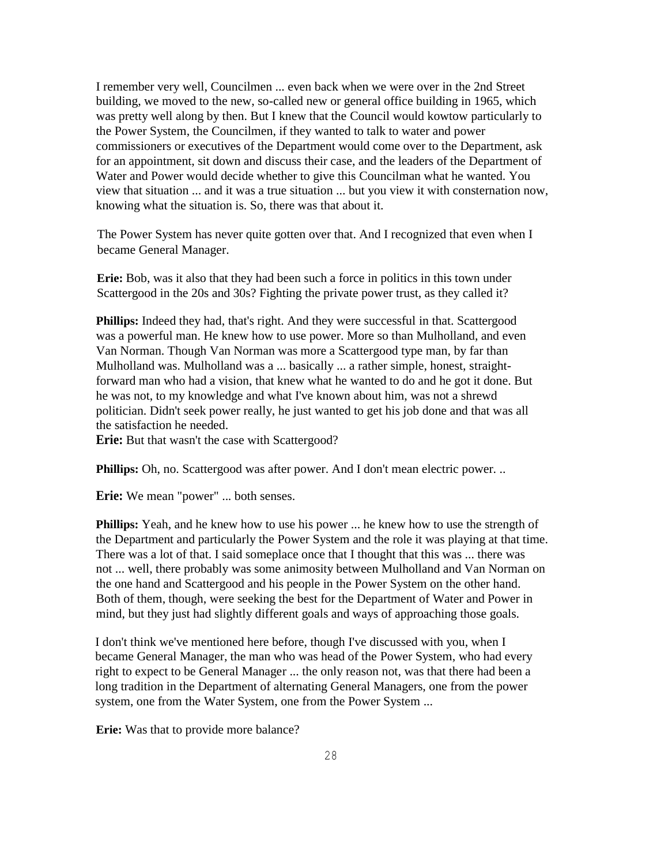I remember very well, Councilmen ... even back when we were over in the 2nd Street building, we moved to the new, so-called new or general office building in 1965, which was pretty well along by then. But I knew that the Council would kowtow particularly to the Power System, the Councilmen, if they wanted to talk to water and power commissioners or executives of the Department would come over to the Department, ask for an appointment, sit down and discuss their case, and the leaders of the Department of Water and Power would decide whether to give this Councilman what he wanted. You view that situation ... and it was a true situation ... but you view it with consternation now, knowing what the situation is. So, there was that about it.

The Power System has never quite gotten over that. And I recognized that even when I became General Manager.

**Erie:** Bob, was it also that they had been such a force in politics in this town under Scattergood in the 20s and 30s? Fighting the private power trust, as they called it?

**Phillips:** Indeed they had, that's right. And they were successful in that. Scattergood was a powerful man. He knew how to use power. More so than Mulholland, and even Van Norman. Though Van Norman was more a Scattergood type man, by far than Mulholland was. Mulholland was a ... basically ... a rather simple, honest, straightforward man who had a vision, that knew what he wanted to do and he got it done. But he was not, to my knowledge and what I've known about him, was not a shrewd politician. Didn't seek power really, he just wanted to get his job done and that was all the satisfaction he needed.

**Erie:** But that wasn't the case with Scattergood?

**Phillips:** Oh, no. Scattergood was after power. And I don't mean electric power. ..

**Erie:** We mean "power" ... both senses.

**Phillips:** Yeah, and he knew how to use his power ... he knew how to use the strength of the Department and particularly the Power System and the role it was playing at that time. There was a lot of that. I said someplace once that I thought that this was ... there was not ... well, there probably was some animosity between Mulholland and Van Norman on the one hand and Scattergood and his people in the Power System on the other hand. Both of them, though, were seeking the best for the Department of Water and Power in mind, but they just had slightly different goals and ways of approaching those goals.

I don't think we've mentioned here before, though I've discussed with you, when I became General Manager, the man who was head of the Power System, who had every right to expect to be General Manager ... the only reason not, was that there had been a long tradition in the Department of alternating General Managers, one from the power system, one from the Water System, one from the Power System ...

**Erie:** Was that to provide more balance?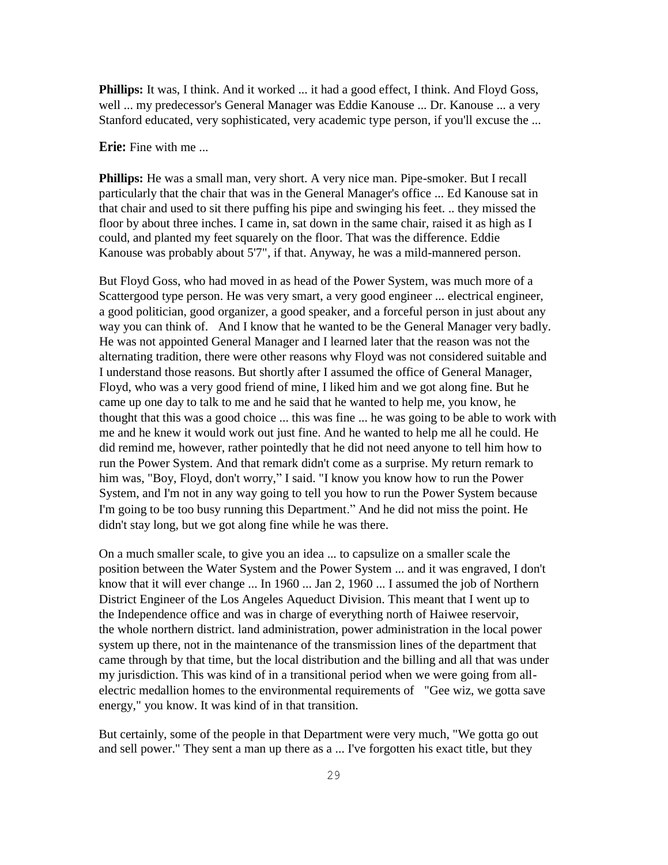Phillips: It was, I think. And it worked ... it had a good effect, I think. And Floyd Goss, well ... my predecessor's General Manager was Eddie Kanouse ... Dr. Kanouse ... a very Stanford educated, very sophisticated, very academic type person, if you'll excuse the ...

**Erie:** Fine with me

**Phillips:** He was a small man, very short. A very nice man. Pipe-smoker. But I recall particularly that the chair that was in the General Manager's office ... Ed Kanouse sat in that chair and used to sit there puffing his pipe and swinging his feet. .. they missed the floor by about three inches. I came in, sat down in the same chair, raised it as high as I could, and planted my feet squarely on the floor. That was the difference. Eddie Kanouse was probably about 5'7", if that. Anyway, he was a mild-mannered person.

But Floyd Goss, who had moved in as head of the Power System, was much more of a Scattergood type person. He was very smart, a very good engineer ... electrical engineer, a good politician, good organizer, a good speaker, and a forceful person in just about any way you can think of. And I know that he wanted to be the General Manager very badly. He was not appointed General Manager and I learned later that the reason was not the alternating tradition, there were other reasons why Floyd was not considered suitable and I understand those reasons. But shortly after I assumed the office of General Manager, Floyd, who was a very good friend of mine, I liked him and we got along fine. But he came up one day to talk to me and he said that he wanted to help me, you know, he thought that this was a good choice ... this was fine ... he was going to be able to work with me and he knew it would work out just fine. And he wanted to help me all he could. He did remind me, however, rather pointedly that he did not need anyone to tell him how to run the Power System. And that remark didn't come as a surprise. My return remark to him was, "Boy, Floyd, don't worry," I said. "I know you know how to run the Power System, and I'm not in any way going to tell you how to run the Power System because I'm going to be too busy running this Department." And he did not miss the point. He didn't stay long, but we got along fine while he was there.

On a much smaller scale, to give you an idea ... to capsulize on a smaller scale the position between the Water System and the Power System ... and it was engraved, I don't know that it will ever change ... In 1960 ... Jan 2, 1960 ... I assumed the job of Northern District Engineer of the Los Angeles Aqueduct Division. This meant that I went up to the Independence office and was in charge of everything north of Haiwee reservoir, the whole northern district. land administration, power administration in the local power system up there, not in the maintenance of the transmission lines of the department that came through by that time, but the local distribution and the billing and all that was under my jurisdiction. This was kind of in a transitional period when we were going from allelectric medallion homes to the environmental requirements of "Gee wiz, we gotta save energy," you know. It was kind of in that transition.

But certainly, some of the people in that Department were very much, "We gotta go out and sell power." They sent a man up there as a ... I've forgotten his exact title, but they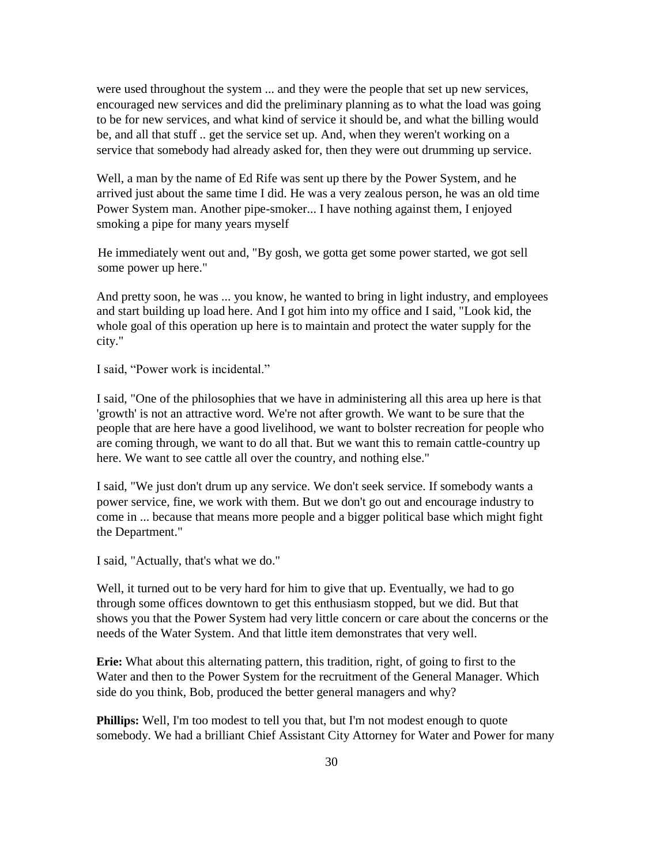were used throughout the system ... and they were the people that set up new services, encouraged new services and did the preliminary planning as to what the load was going to be for new services, and what kind of service it should be, and what the billing would be, and all that stuff .. get the service set up. And, when they weren't working on a service that somebody had already asked for, then they were out drumming up service.

Well, a man by the name of Ed Rife was sent up there by the Power System, and he arrived just about the same time I did. He was a very zealous person, he was an old time Power System man. Another pipe-smoker... I have nothing against them, I enjoyed smoking a pipe for many years myself

He immediately went out and, "By gosh, we gotta get some power started, we got sell some power up here."

And pretty soon, he was ... you know, he wanted to bring in light industry, and employees and start building up load here. And I got him into my office and I said, "Look kid, the whole goal of this operation up here is to maintain and protect the water supply for the city."

I said, "Power work is incidental."

I said, "One of the philosophies that we have in administering all this area up here is that 'growth' is not an attractive word. We're not after growth. We want to be sure that the people that are here have a good livelihood, we want to bolster recreation for people who are coming through, we want to do all that. But we want this to remain cattle-country up here. We want to see cattle all over the country, and nothing else."

I said, "We just don't drum up any service. We don't seek service. If somebody wants a power service, fine, we work with them. But we don't go out and encourage industry to come in ... because that means more people and a bigger political base which might fight the Department."

I said, "Actually, that's what we do."

Well, it turned out to be very hard for him to give that up. Eventually, we had to go through some offices downtown to get this enthusiasm stopped, but we did. But that shows you that the Power System had very little concern or care about the concerns or the needs of the Water System. And that little item demonstrates that very well.

**Erie:** What about this alternating pattern, this tradition, right, of going to first to the Water and then to the Power System for the recruitment of the General Manager. Which side do you think, Bob, produced the better general managers and why?

**Phillips:** Well, I'm too modest to tell you that, but I'm not modest enough to quote somebody. We had a brilliant Chief Assistant City Attorney for Water and Power for many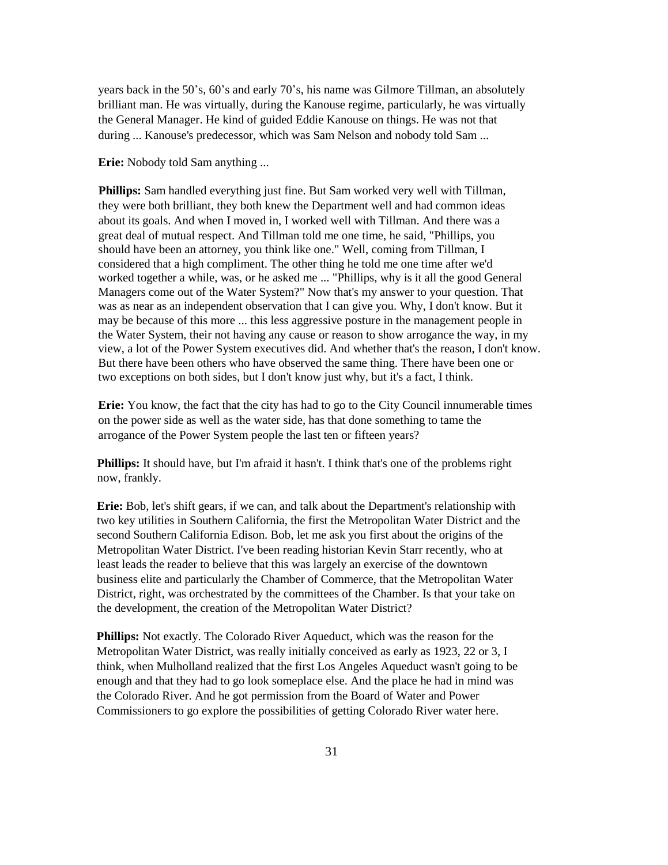years back in the 50's, 60's and early 70's, his name was Gilmore Tillman, an absolutely brilliant man. He was virtually, during the Kanouse regime, particularly, he was virtually the General Manager. He kind of guided Eddie Kanouse on things. He was not that during ... Kanouse's predecessor, which was Sam Nelson and nobody told Sam ...

**Erie:** Nobody told Sam anything ...

**Phillips:** Sam handled everything just fine. But Sam worked very well with Tillman, they were both brilliant, they both knew the Department well and had common ideas about its goals. And when I moved in, I worked well with Tillman. And there was a great deal of mutual respect. And Tillman told me one time, he said, "Phillips, you should have been an attorney, you think like one." Well, coming from Tillman, I considered that a high compliment. The other thing he told me one time after we'd worked together a while, was, or he asked me ... "Phillips, why is it all the good General Managers come out of the Water System?" Now that's my answer to your question. That was as near as an independent observation that I can give you. Why, I don't know. But it may be because of this more ... this less aggressive posture in the management people in the Water System, their not having any cause or reason to show arrogance the way, in my view, a lot of the Power System executives did. And whether that's the reason, I don't know. But there have been others who have observed the same thing. There have been one or two exceptions on both sides, but I don't know just why, but it's a fact, I think.

**Erie:** You know, the fact that the city has had to go to the City Council innumerable times on the power side as well as the water side, has that done something to tame the arrogance of the Power System people the last ten or fifteen years?

**Phillips:** It should have, but I'm afraid it hasn't. I think that's one of the problems right now, frankly.

**Erie:** Bob, let's shift gears, if we can, and talk about the Department's relationship with two key utilities in Southern California, the first the Metropolitan Water District and the second Southern California Edison. Bob, let me ask you first about the origins of the Metropolitan Water District. I've been reading historian Kevin Starr recently, who at least leads the reader to believe that this was largely an exercise of the downtown business elite and particularly the Chamber of Commerce, that the Metropolitan Water District, right, was orchestrated by the committees of the Chamber. Is that your take on the development, the creation of the Metropolitan Water District?

**Phillips:** Not exactly. The Colorado River Aqueduct, which was the reason for the Metropolitan Water District, was really initially conceived as early as 1923, 22 or 3, I think, when Mulholland realized that the first Los Angeles Aqueduct wasn't going to be enough and that they had to go look someplace else. And the place he had in mind was the Colorado River. And he got permission from the Board of Water and Power Commissioners to go explore the possibilities of getting Colorado River water here.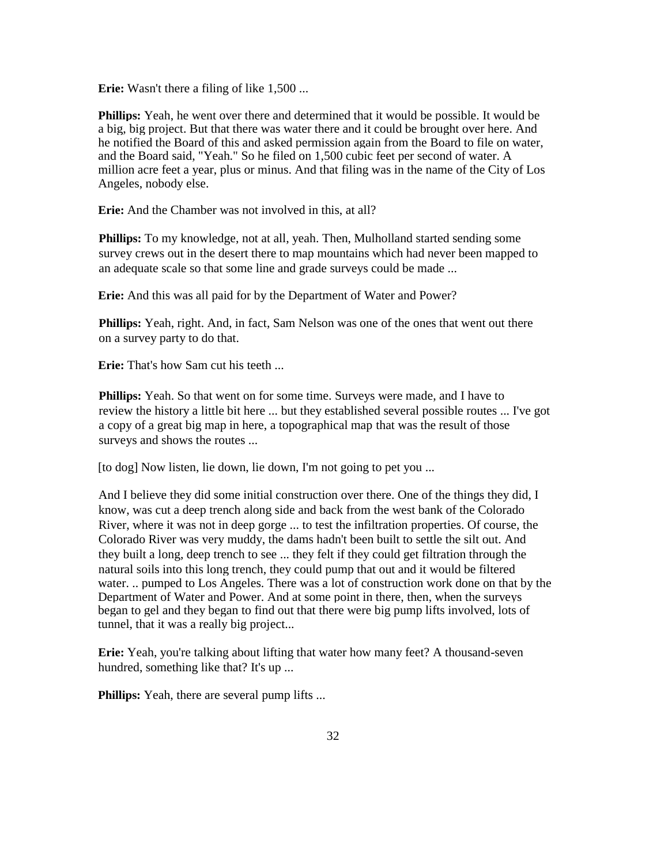**Erie:** Wasn't there a filing of like 1,500 ...

**Phillips:** Yeah, he went over there and determined that it would be possible. It would be a big, big project. But that there was water there and it could be brought over here. And he notified the Board of this and asked permission again from the Board to file on water, and the Board said, "Yeah." So he filed on 1,500 cubic feet per second of water. A million acre feet a year, plus or minus. And that filing was in the name of the City of Los Angeles, nobody else.

**Erie:** And the Chamber was not involved in this, at all?

**Phillips:** To my knowledge, not at all, yeah. Then, Mulholland started sending some survey crews out in the desert there to map mountains which had never been mapped to an adequate scale so that some line and grade surveys could be made ...

**Erie:** And this was all paid for by the Department of Water and Power?

**Phillips:** Yeah, right. And, in fact, Sam Nelson was one of the ones that went out there on a survey party to do that.

**Erie:** That's how Sam cut his teeth ...

**Phillips:** Yeah. So that went on for some time. Surveys were made, and I have to review the history a little bit here ... but they established several possible routes ... I've got a copy of a great big map in here, a topographical map that was the result of those surveys and shows the routes ...

[to dog] Now listen, lie down, lie down, I'm not going to pet you ...

And I believe they did some initial construction over there. One of the things they did, I know, was cut a deep trench along side and back from the west bank of the Colorado River, where it was not in deep gorge ... to test the infiltration properties. Of course, the Colorado River was very muddy, the dams hadn't been built to settle the silt out. And they built a long, deep trench to see ... they felt if they could get filtration through the natural soils into this long trench, they could pump that out and it would be filtered water. .. pumped to Los Angeles. There was a lot of construction work done on that by the Department of Water and Power. And at some point in there, then, when the surveys began to gel and they began to find out that there were big pump lifts involved, lots of tunnel, that it was a really big project...

**Erie:** Yeah, you're talking about lifting that water how many feet? A thousand-seven hundred, something like that? It's up ...

**Phillips:** Yeah, there are several pump lifts ...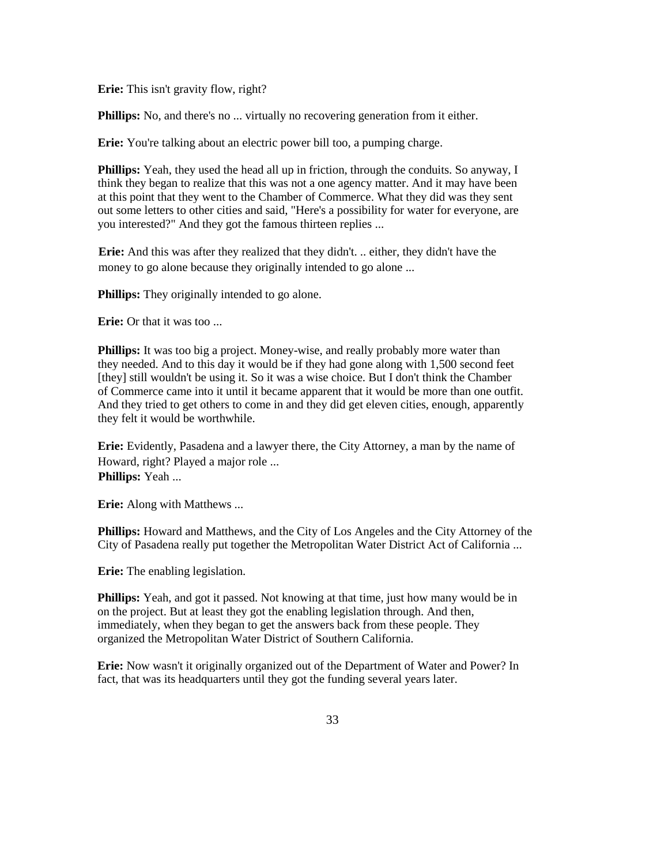**Erie:** This isn't gravity flow, right?

**Phillips:** No, and there's no ... virtually no recovering generation from it either.

**Erie:** You're talking about an electric power bill too, a pumping charge.

**Phillips:** Yeah, they used the head all up in friction, through the conduits. So anyway, I think they began to realize that this was not a one agency matter. And it may have been at this point that they went to the Chamber of Commerce. What they did was they sent out some letters to other cities and said, "Here's a possibility for water for everyone, are you interested?" And they got the famous thirteen replies ...

**Erie:** And this was after they realized that they didn't. .. either, they didn't have the money to go alone because they originally intended to go alone ...

**Phillips:** They originally intended to go alone.

**Erie:** Or that it was too ...

**Phillips:** It was too big a project. Money-wise, and really probably more water than they needed. And to this day it would be if they had gone along with 1,500 second feet [they] still wouldn't be using it. So it was a wise choice. But I don't think the Chamber of Commerce came into it until it became apparent that it would be more than one outfit. And they tried to get others to come in and they did get eleven cities, enough, apparently they felt it would be worthwhile.

**Erie:** Evidently, Pasadena and a lawyer there, the City Attorney, a man by the name of Howard, right? Played a major role ... **Phillips:** Yeah ...

**Erie:** Along with Matthews ...

**Phillips:** Howard and Matthews, and the City of Los Angeles and the City Attorney of the City of Pasadena really put together the Metropolitan Water District Act of California ...

**Erie:** The enabling legislation.

**Phillips:** Yeah, and got it passed. Not knowing at that time, just how many would be in on the project. But at least they got the enabling legislation through. And then, immediately, when they began to get the answers back from these people. They organized the Metropolitan Water District of Southern California.

**Erie:** Now wasn't it originally organized out of the Department of Water and Power? In fact, that was its headquarters until they got the funding several years later.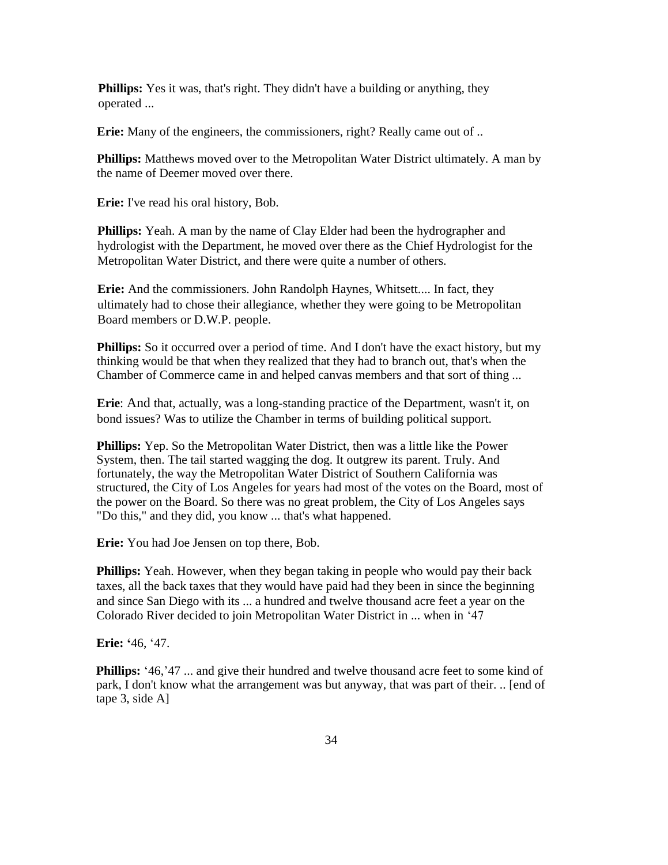**Phillips:** Yes it was, that's right. They didn't have a building or anything, they operated ...

**Erie:** Many of the engineers, the commissioners, right? Really came out of ..

**Phillips:** Matthews moved over to the Metropolitan Water District ultimately. A man by the name of Deemer moved over there.

**Erie:** I've read his oral history, Bob.

**Phillips:** Yeah. A man by the name of Clay Elder had been the hydrographer and hydrologist with the Department, he moved over there as the Chief Hydrologist for the Metropolitan Water District, and there were quite a number of others.

**Erie:** And the commissioners. John Randolph Haynes, Whitsett.... In fact, they ultimately had to chose their allegiance, whether they were going to be Metropolitan Board members or D.W.P. people.

**Phillips:** So it occurred over a period of time. And I don't have the exact history, but my thinking would be that when they realized that they had to branch out, that's when the Chamber of Commerce came in and helped canvas members and that sort of thing ...

**Erie**: And that, actually, was a long-standing practice of the Department, wasn't it, on bond issues? Was to utilize the Chamber in terms of building political support.

**Phillips:** Yep. So the Metropolitan Water District, then was a little like the Power System, then. The tail started wagging the dog. It outgrew its parent. Truly. And fortunately, the way the Metropolitan Water District of Southern California was structured, the City of Los Angeles for years had most of the votes on the Board, most of the power on the Board. So there was no great problem, the City of Los Angeles says "Do this," and they did, you know ... that's what happened.

**Erie:** You had Joe Jensen on top there, Bob.

**Phillips:** Yeah. However, when they began taking in people who would pay their back taxes, all the back taxes that they would have paid had they been in since the beginning and since San Diego with its ... a hundred and twelve thousand acre feet a year on the Colorado River decided to join Metropolitan Water District in ... when in '47

**Erie: '**46, '47.

**Phillips:** '46,'47 ... and give their hundred and twelve thousand acre feet to some kind of park, I don't know what the arrangement was but anyway, that was part of their. .. [end of tape 3, side A]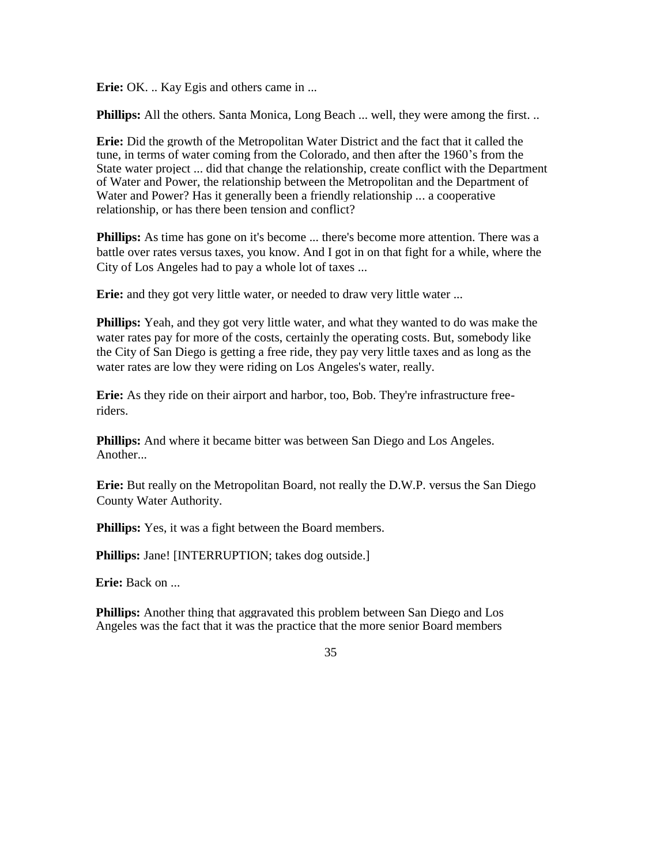**Erie:** OK. .. Kay Egis and others came in ...

**Phillips:** All the others. Santa Monica, Long Beach ... well, they were among the first. ..

**Erie:** Did the growth of the Metropolitan Water District and the fact that it called the tune, in terms of water coming from the Colorado, and then after the 1960's from the State water project ... did that change the relationship, create conflict with the Department of Water and Power, the relationship between the Metropolitan and the Department of Water and Power? Has it generally been a friendly relationship ... a cooperative relationship, or has there been tension and conflict?

**Phillips:** As time has gone on it's become ... there's become more attention. There was a battle over rates versus taxes, you know. And I got in on that fight for a while, where the City of Los Angeles had to pay a whole lot of taxes ...

**Erie:** and they got very little water, or needed to draw very little water ...

**Phillips:** Yeah, and they got very little water, and what they wanted to do was make the water rates pay for more of the costs, certainly the operating costs. But, somebody like the City of San Diego is getting a free ride, they pay very little taxes and as long as the water rates are low they were riding on Los Angeles's water, really.

**Erie:** As they ride on their airport and harbor, too, Bob. They're infrastructure freeriders.

**Phillips:** And where it became bitter was between San Diego and Los Angeles. Another...

**Erie:** But really on the Metropolitan Board, not really the D.W.P. versus the San Diego County Water Authority.

**Phillips:** Yes, it was a fight between the Board members.

**Phillips:** Jane! [INTERRUPTION; takes dog outside.]

**Erie:** Back on ...

**Phillips:** Another thing that aggravated this problem between San Diego and Los Angeles was the fact that it was the practice that the more senior Board members

35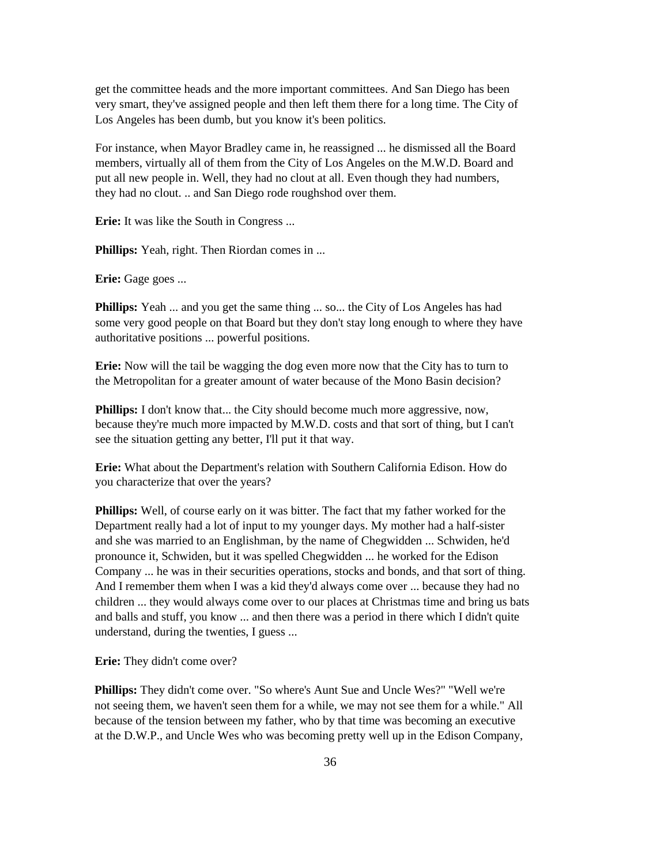get the committee heads and the more important committees. And San Diego has been very smart, they've assigned people and then left them there for a long time. The City of Los Angeles has been dumb, but you know it's been politics.

For instance, when Mayor Bradley came in, he reassigned ... he dismissed all the Board members, virtually all of them from the City of Los Angeles on the M.W.D. Board and put all new people in. Well, they had no clout at all. Even though they had numbers, they had no clout. .. and San Diego rode roughshod over them.

**Erie:** It was like the South in Congress ...

**Phillips:** Yeah, right. Then Riordan comes in ...

**Erie:** Gage goes ...

**Phillips:** Yeah ... and you get the same thing ... so... the City of Los Angeles has had some very good people on that Board but they don't stay long enough to where they have authoritative positions ... powerful positions.

**Erie:** Now will the tail be wagging the dog even more now that the City has to turn to the Metropolitan for a greater amount of water because of the Mono Basin decision?

**Phillips:** I don't know that... the City should become much more aggressive, now, because they're much more impacted by M.W.D. costs and that sort of thing, but I can't see the situation getting any better, I'll put it that way.

**Erie:** What about the Department's relation with Southern California Edison. How do you characterize that over the years?

**Phillips:** Well, of course early on it was bitter. The fact that my father worked for the Department really had a lot of input to my younger days. My mother had a half-sister and she was married to an Englishman, by the name of Chegwidden ... Schwiden, he'd pronounce it, Schwiden, but it was spelled Chegwidden ... he worked for the Edison Company ... he was in their securities operations, stocks and bonds, and that sort of thing. And I remember them when I was a kid they'd always come over ... because they had no children ... they would always come over to our places at Christmas time and bring us bats and balls and stuff, you know ... and then there was a period in there which I didn't quite understand, during the twenties, I guess ...

**Erie:** They didn't come over?

**Phillips:** They didn't come over. "So where's Aunt Sue and Uncle Wes?" "Well we're not seeing them, we haven't seen them for a while, we may not see them for a while." All because of the tension between my father, who by that time was becoming an executive at the D.W.P., and Uncle Wes who was becoming pretty well up in the Edison Company,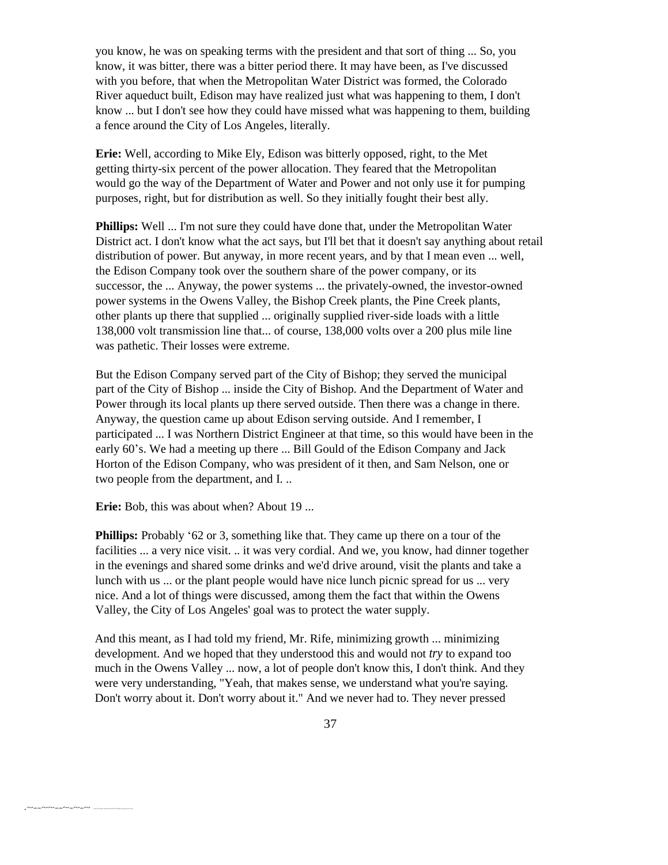you know, he was on speaking terms with the president and that sort of thing ... So, you know, it was bitter, there was a bitter period there. It may have been, as I've discussed with you before, that when the Metropolitan Water District was formed, the Colorado River aqueduct built, Edison may have realized just what was happening to them, I don't know ... but I don't see how they could have missed what was happening to them, building a fence around the City of Los Angeles, literally.

**Erie:** Well, according to Mike Ely, Edison was bitterly opposed, right, to the Met getting thirty-six percent of the power allocation. They feared that the Metropolitan would go the way of the Department of Water and Power and not only use it for pumping purposes, right, but for distribution as well. So they initially fought their best ally.

**Phillips:** Well ... I'm not sure they could have done that, under the Metropolitan Water District act. I don't know what the act says, but I'll bet that it doesn't say anything about retail distribution of power. But anyway, in more recent years, and by that I mean even ... well, the Edison Company took over the southern share of the power company, or its successor, the ... Anyway, the power systems ... the privately-owned, the investor-owned power systems in the Owens Valley, the Bishop Creek plants, the Pine Creek plants, other plants up there that supplied ... originally supplied river-side loads with a little 138,000 volt transmission line that... of course, 138,000 volts over a 200 plus mile line was pathetic. Their losses were extreme.

But the Edison Company served part of the City of Bishop; they served the municipal part of the City of Bishop ... inside the City of Bishop. And the Department of Water and Power through its local plants up there served outside. Then there was a change in there. Anyway, the question came up about Edison serving outside. And I remember, I participated ... I was Northern District Engineer at that time, so this would have been in the early 60's. We had a meeting up there ... Bill Gould of the Edison Company and Jack Horton of the Edison Company, who was president of it then, and Sam Nelson, one or two people from the department, and I. ..

**Erie:** Bob, this was about when? About 19 ...

.~--~~--~-~-~ -~---~-~~----~-

**Phillips:** Probably '62 or 3, something like that. They came up there on a tour of the facilities ... a very nice visit. .. it was very cordial. And we, you know, had dinner together in the evenings and shared some drinks and we'd drive around, visit the plants and take a lunch with us ... or the plant people would have nice lunch picnic spread for us ... very nice. And a lot of things were discussed, among them the fact that within the Owens Valley, the City of Los Angeles' goal was to protect the water supply.

And this meant, as I had told my friend, Mr. Rife, minimizing growth ... minimizing development. And we hoped that they understood this and would not *try* to expand too much in the Owens Valley ... now, a lot of people don't know this, I don't think. And they were very understanding, "Yeah, that makes sense, we understand what you're saying. Don't worry about it. Don't worry about it." And we never had to. They never pressed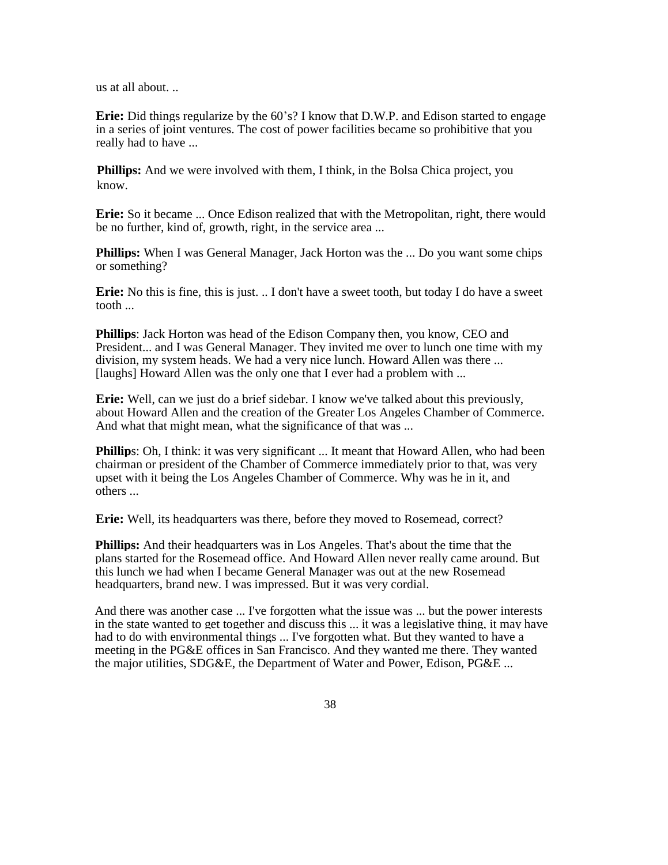us at all about. ..

**Erie:** Did things regularize by the 60's? I know that D.W.P. and Edison started to engage in a series of joint ventures. The cost of power facilities became so prohibitive that you really had to have ...

**Phillips:** And we were involved with them, I think, in the Bolsa Chica project, you know.

**Erie:** So it became ... Once Edison realized that with the Metropolitan, right, there would be no further, kind of, growth, right, in the service area ...

**Phillips:** When I was General Manager, Jack Horton was the ... Do you want some chips or something?

**Erie:** No this is fine, this is just. .. I don't have a sweet tooth, but today I do have a sweet tooth ...

**Phillips**: Jack Horton was head of the Edison Company then, you know, CEO and President... and I was General Manager. They invited me over to lunch one time with my division, my system heads. We had a very nice lunch. Howard Allen was there ... [laughs] Howard Allen was the only one that I ever had a problem with ...

**Erie:** Well, can we just do a brief sidebar. I know we've talked about this previously, about Howard Allen and the creation of the Greater Los Angeles Chamber of Commerce. And what that might mean, what the significance of that was ...

**Phillip**s: Oh, I think: it was very significant ... It meant that Howard Allen, who had been chairman or president of the Chamber of Commerce immediately prior to that, was very upset with it being the Los Angeles Chamber of Commerce. Why was he in it, and others ...

**Erie:** Well, its headquarters was there, before they moved to Rosemead, correct?

**Phillips:** And their headquarters was in Los Angeles. That's about the time that the plans started for the Rosemead office. And Howard Allen never really came around. But this lunch we had when I became General Manager was out at the new Rosemead headquarters, brand new. I was impressed. But it was very cordial.

And there was another case ... I've forgotten what the issue was ... but the power interests in the state wanted to get together and discuss this ... it was a legislative thing, it may have had to do with environmental things ... I've forgotten what. But they wanted to have a meeting in the PG&E offices in San Francisco. And they wanted me there. They wanted the major utilities, SDG&E, the Department of Water and Power, Edison, PG&E ...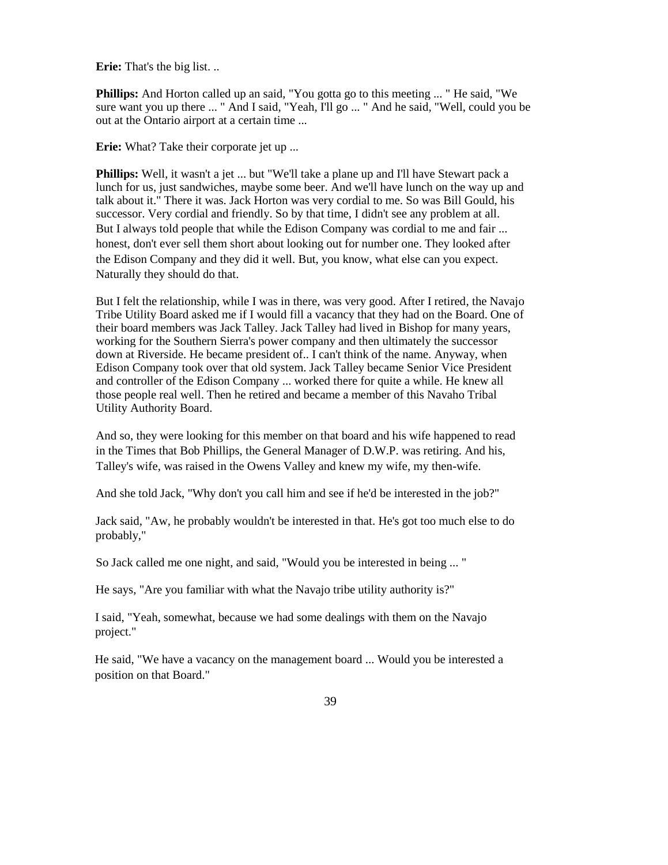**Erie:** That's the big list. ..

**Phillips:** And Horton called up an said, "You gotta go to this meeting ... " He said, "We sure want you up there ... " And I said, "Yeah, I'll go ... " And he said, "Well, could you be out at the Ontario airport at a certain time ...

**Erie:** What? Take their corporate jet up ...

**Phillips:** Well, it wasn't a jet ... but "We'll take a plane up and I'll have Stewart pack a lunch for us, just sandwiches, maybe some beer. And we'll have lunch on the way up and talk about it." There it was. Jack Horton was very cordial to me. So was Bill Gould, his successor. Very cordial and friendly. So by that time, I didn't see any problem at all. But I always told people that while the Edison Company was cordial to me and fair ... honest, don't ever sell them short about looking out for number one. They looked after the Edison Company and they did it well. But, you know, what else can you expect. Naturally they should do that.

But I felt the relationship, while I was in there, was very good. After I retired, the Navajo Tribe Utility Board asked me if I would fill a vacancy that they had on the Board. One of their board members was Jack Talley. Jack Talley had lived in Bishop for many years, working for the Southern Sierra's power company and then ultimately the successor down at Riverside. He became president of.. I can't think of the name. Anyway, when Edison Company took over that old system. Jack Talley became Senior Vice President and controller of the Edison Company ... worked there for quite a while. He knew all those people real well. Then he retired and became a member of this Navaho Tribal Utility Authority Board.

And so, they were looking for this member on that board and his wife happened to read in the Times that Bob Phillips, the General Manager of D.W.P. was retiring. And his, Talley's wife, was raised in the Owens Valley and knew my wife, my then-wife.

And she told Jack, "Why don't you call him and see if he'd be interested in the job?"

Jack said, "Aw, he probably wouldn't be interested in that. He's got too much else to do probably,"

So Jack called me one night, and said, "Would you be interested in being ... "

He says, "Are you familiar with what the Navajo tribe utility authority is?"

I said, "Yeah, somewhat, because we had some dealings with them on the Navajo project."

He said, "We have a vacancy on the management board ... Would you be interested a position on that Board."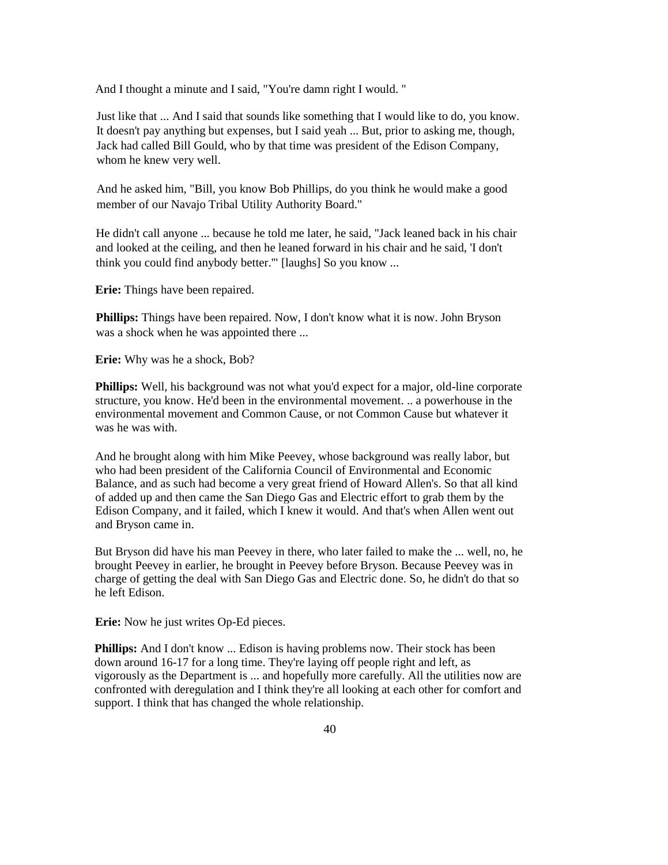And I thought a minute and I said, "You're damn right I would. "

Just like that ... And I said that sounds like something that I would like to do, you know. It doesn't pay anything but expenses, but I said yeah ... But, prior to asking me, though, Jack had called Bill Gould, who by that time was president of the Edison Company, whom he knew very well.

And he asked him, "Bill, you know Bob Phillips, do you think he would make a good member of our Navajo Tribal Utility Authority Board."

He didn't call anyone ... because he told me later, he said, "Jack leaned back in his chair and looked at the ceiling, and then he leaned forward in his chair and he said, 'I don't think you could find anybody better.'" [laughs] So you know ...

**Erie:** Things have been repaired.

**Phillips:** Things have been repaired. Now, I don't know what it is now. John Bryson was a shock when he was appointed there ...

**Erie:** Why was he a shock, Bob?

**Phillips:** Well, his background was not what you'd expect for a major, old-line corporate structure, you know. He'd been in the environmental movement. .. a powerhouse in the environmental movement and Common Cause, or not Common Cause but whatever it was he was with.

And he brought along with him Mike Peevey, whose background was really labor, but who had been president of the California Council of Environmental and Economic Balance, and as such had become a very great friend of Howard Allen's. So that all kind of added up and then came the San Diego Gas and Electric effort to grab them by the Edison Company, and it failed, which I knew it would. And that's when Allen went out and Bryson came in.

But Bryson did have his man Peevey in there, who later failed to make the ... well, no, he brought Peevey in earlier, he brought in Peevey before Bryson. Because Peevey was in charge of getting the deal with San Diego Gas and Electric done. So, he didn't do that so he left Edison.

**Erie:** Now he just writes Op-Ed pieces.

**Phillips:** And I don't know ... Edison is having problems now. Their stock has been down around 16-17 for a long time. They're laying off people right and left, as vigorously as the Department is ... and hopefully more carefully. All the utilities now are confronted with deregulation and I think they're all looking at each other for comfort and support. I think that has changed the whole relationship.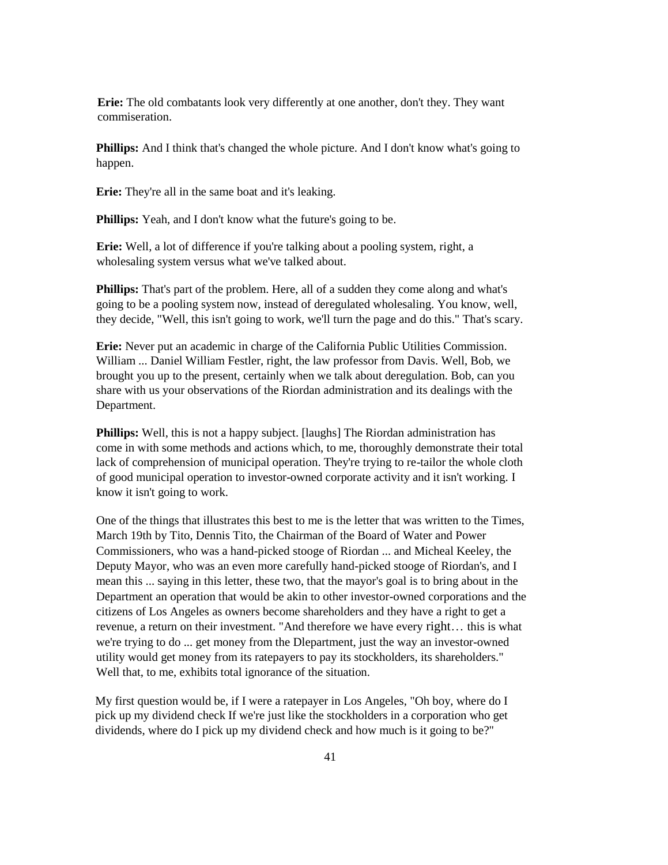**Erie:** The old combatants look very differently at one another, don't they. They want commiseration.

**Phillips:** And I think that's changed the whole picture. And I don't know what's going to happen.

**Erie:** They're all in the same boat and it's leaking.

**Phillips:** Yeah, and I don't know what the future's going to be.

**Erie:** Well, a lot of difference if you're talking about a pooling system, right, a wholesaling system versus what we've talked about.

**Phillips:** That's part of the problem. Here, all of a sudden they come along and what's going to be a pooling system now, instead of deregulated wholesaling. You know, well, they decide, "Well, this isn't going to work, we'll turn the page and do this." That's scary.

**Erie:** Never put an academic in charge of the California Public Utilities Commission. William ... Daniel William Festler, right, the law professor from Davis. Well, Bob, we brought you up to the present, certainly when we talk about deregulation. Bob, can you share with us your observations of the Riordan administration and its dealings with the Department.

**Phillips:** Well, this is not a happy subject. [laughs] The Riordan administration has come in with some methods and actions which, to me, thoroughly demonstrate their total lack of comprehension of municipal operation. They're trying to re-tailor the whole cloth of good municipal operation to investor-owned corporate activity and it isn't working. I know it isn't going to work.

One of the things that illustrates this best to me is the letter that was written to the Times, March 19th by Tito, Dennis Tito, the Chairman of the Board of Water and Power Commissioners, who was a hand-picked stooge of Riordan ... and Micheal Keeley, the Deputy Mayor, who was an even more carefully hand-picked stooge of Riordan's, and I mean this ... saying in this letter, these two, that the mayor's goal is to bring about in the Department an operation that would be akin to other investor-owned corporations and the citizens of Los Angeles as owners become shareholders and they have a right to get a revenue, a return on their investment. "And therefore we have every right… this is what we're trying to do ... get money from the Dlepartment, just the way an investor-owned utility would get money from its ratepayers to pay its stockholders, its shareholders." Well that, to me, exhibits total ignorance of the situation.

My first question would be, if I were a ratepayer in Los Angeles, "Oh boy, where do I pick up my dividend check If we're just like the stockholders in a corporation who get dividends, where do I pick up my dividend check and how much is it going to be?"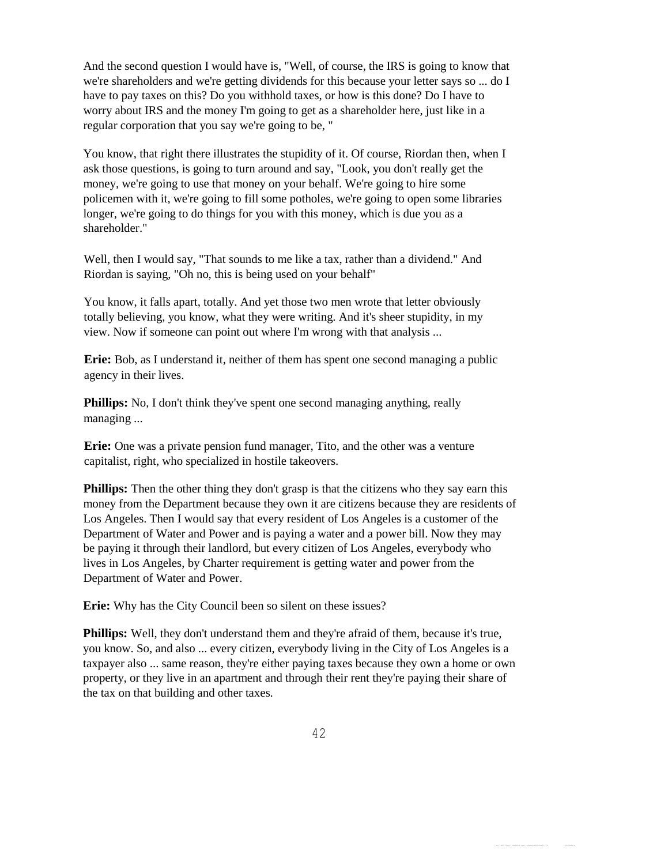And the second question I would have is, "Well, of course, the IRS is going to know that we're shareholders and we're getting dividends for this because your letter says so ... do I have to pay taxes on this? Do you withhold taxes, or how is this done? Do I have to worry about IRS and the money I'm going to get as a shareholder here, just like in a regular corporation that you say we're going to be, "

You know, that right there illustrates the stupidity of it. Of course, Riordan then, when I ask those questions, is going to turn around and say, "Look, you don't really get the money, we're going to use that money on your behalf. We're going to hire some policemen with it, we're going to fill some potholes, we're going to open some libraries longer, we're going to do things for you with this money, which is due you as a shareholder."

Well, then I would say, "That sounds to me like a tax, rather than a dividend." And Riordan is saying, "Oh no, this is being used on your behalf"

You know, it falls apart, totally. And yet those two men wrote that letter obviously totally believing, you know, what they were writing. And it's sheer stupidity, in my view. Now if someone can point out where I'm wrong with that analysis ...

**Erie:** Bob, as I understand it, neither of them has spent one second managing a public agency in their lives.

**Phillips:** No, I don't think they've spent one second managing anything, really managing ...

**Erie:** One was a private pension fund manager, Tito, and the other was a venture capitalist, right, who specialized in hostile takeovers.

**Phillips:** Then the other thing they don't grasp is that the citizens who they say earn this money from the Department because they own it are citizens because they are residents of Los Angeles. Then I would say that every resident of Los Angeles is a customer of the Department of Water and Power and is paying a water and a power bill. Now they may be paying it through their landlord, but every citizen of Los Angeles, everybody who lives in Los Angeles, by Charter requirement is getting water and power from the Department of Water and Power.

**Erie:** Why has the City Council been so silent on these issues?

**Phillips:** Well, they don't understand them and they're afraid of them, because it's true, you know. So, and also ... every citizen, everybody living in the City of Los Angeles is a taxpayer also ... same reason, they're either paying taxes because they own a home or own property, or they live in an apartment and through their rent they're paying their share of the tax on that building and other taxes.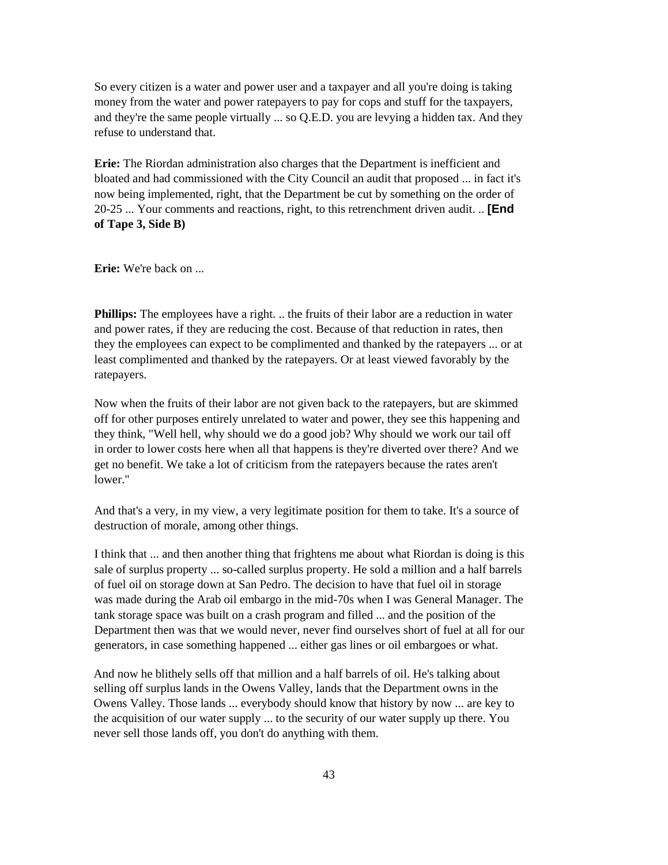So every citizen is a water and power user and a taxpayer and all you're doing is taking money from the water and power ratepayers to pay for cops and stuff for the taxpayers, and they're the same people virtually ... so Q.E.D. you are levying a hidden tax. And they refuse to understand that.

**Erie:** The Riordan administration also charges that the Department is inefficient and bloated and had commissioned with the City Council an audit that proposed ... in fact it's now being implemented, right, that the Department be cut by something on the order of 20-25 ... Your comments and reactions, right, to this retrenchment driven audit. .. **[End of Tape 3, Side B)**

**Erie:** We're back on ...

**Phillips:** The employees have a right. .. the fruits of their labor are a reduction in water and power rates, if they are reducing the cost. Because of that reduction in rates, then they the employees can expect to be complimented and thanked by the ratepayers ... or at least complimented and thanked by the ratepayers. Or at least viewed favorably by the ratepayers.

Now when the fruits of their labor are not given back to the ratepayers, but are skimmed off for other purposes entirely unrelated to water and power, they see this happening and they think, "Well hell, why should we do a good job? Why should we work our tail off in order to lower costs here when all that happens is they're diverted over there? And we get no benefit. We take a lot of criticism from the ratepayers because the rates aren't lower."

And that's a very, in my view, a very legitimate position for them to take. It's a source of destruction of morale, among other things.

I think that ... and then another thing that frightens me about what Riordan is doing is this sale of surplus property ... so-called surplus property. He sold a million and a half barrels of fuel oil on storage down at San Pedro. The decision to have that fuel oil in storage was made during the Arab oil embargo in the mid-70s when I was General Manager. The tank storage space was built on a crash program and filled ... and the position of the Department then was that we would never, never find ourselves short of fuel at all for our generators, in case something happened ... either gas lines or oil embargoes or what.

And now he blithely sells off that million and a half barrels of oil. He's talking about selling off surplus lands in the Owens Valley, lands that the Department owns in the Owens Valley. Those lands ... everybody should know that history by now ... are key to the acquisition of our water supply ... to the security of our water supply up there. You never sell those lands off, you don't do anything with them.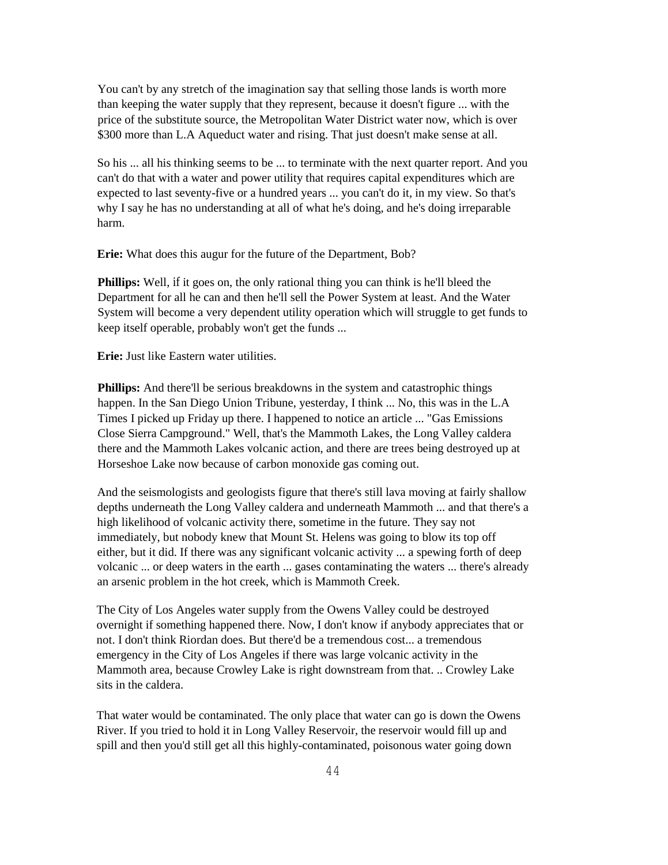You can't by any stretch of the imagination say that selling those lands is worth more than keeping the water supply that they represent, because it doesn't figure ... with the price of the substitute source, the Metropolitan Water District water now, which is over \$300 more than L.A Aqueduct water and rising. That just doesn't make sense at all.

So his ... all his thinking seems to be ... to terminate with the next quarter report. And you can't do that with a water and power utility that requires capital expenditures which are expected to last seventy-five or a hundred years ... you can't do it, in my view. So that's why I say he has no understanding at all of what he's doing, and he's doing irreparable harm.

**Erie:** What does this augur for the future of the Department, Bob?

**Phillips:** Well, if it goes on, the only rational thing you can think is he'll bleed the Department for all he can and then he'll sell the Power System at least. And the Water System will become a very dependent utility operation which will struggle to get funds to keep itself operable, probably won't get the funds ...

**Erie:** Just like Eastern water utilities.

**Phillips:** And there'll be serious breakdowns in the system and catastrophic things happen. In the San Diego Union Tribune, yesterday, I think ... No, this was in the L.A Times I picked up Friday up there. I happened to notice an article ... "Gas Emissions Close Sierra Campground." Well, that's the Mammoth Lakes, the Long Valley caldera there and the Mammoth Lakes volcanic action, and there are trees being destroyed up at Horseshoe Lake now because of carbon monoxide gas coming out.

And the seismologists and geologists figure that there's still lava moving at fairly shallow depths underneath the Long Valley caldera and underneath Mammoth ... and that there's a high likelihood of volcanic activity there, sometime in the future. They say not immediately, but nobody knew that Mount St. Helens was going to blow its top off either, but it did. If there was any significant volcanic activity ... a spewing forth of deep volcanic ... or deep waters in the earth ... gases contaminating the waters ... there's already an arsenic problem in the hot creek, which is Mammoth Creek.

The City of Los Angeles water supply from the Owens Valley could be destroyed overnight if something happened there. Now, I don't know if anybody appreciates that or not. I don't think Riordan does. But there'd be a tremendous cost... a tremendous emergency in the City of Los Angeles if there was large volcanic activity in the Mammoth area, because Crowley Lake is right downstream from that. .. Crowley Lake sits in the caldera.

That water would be contaminated. The only place that water can go is down the Owens River. If you tried to hold it in Long Valley Reservoir, the reservoir would fill up and spill and then you'd still get all this highly-contaminated, poisonous water going down